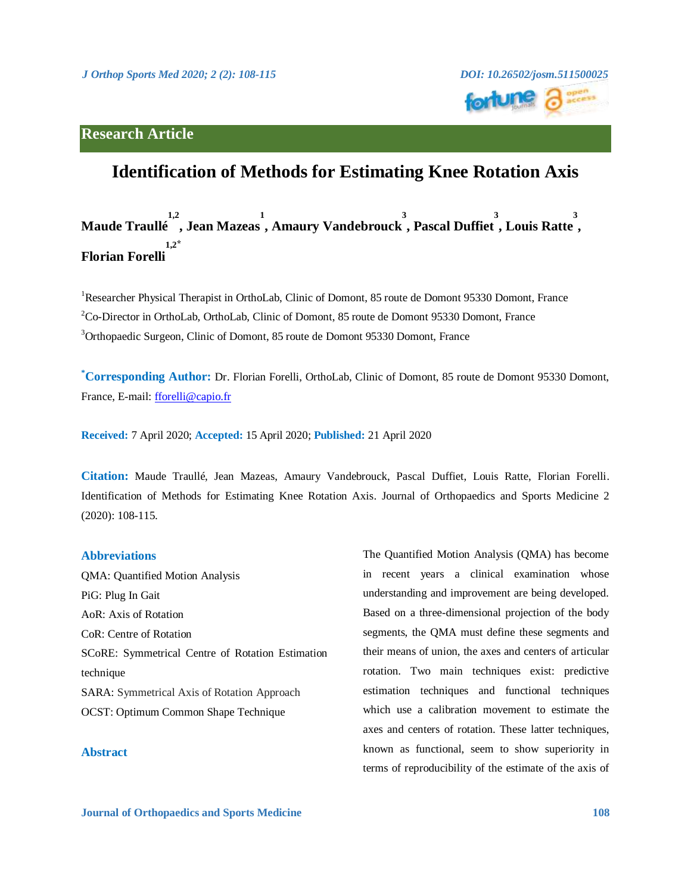



# **Identification of Methods for Estimating Knee Rotation Axis**

### **Maude Traullé , Jean Mazeas 1,2 1 , Amaury Vandebrouck 3 , Pascal Duffiet 3 , Louis Ratte 3 , Florian Forelli**  $1.2^*$

<sup>1</sup>Researcher Physical Therapist in OrthoLab, Clinic of Domont, 85 route de Domont 95330 Domont, France <sup>2</sup>Co-Director in OrthoLab, OrthoLab, Clinic of Domont, 85 route de Domont 95330 Domont, France <sup>3</sup>Orthopaedic Surgeon, Clinic of Domont, 85 route de Domont 95330 Domont, France

<sup>\*</sup>**Corresponding Author:** Dr. Florian Forelli, OrthoLab, Clinic of Domont, 85 route de Domont 95330 Domont, France, E-mail: [fforelli@capio.fr](mailto:fforelli@capio.fr)

**Received:** 7 April 2020; **Accepted:** 15 April 2020; **Published:** 21 April 2020

**Citation:** Maude Traullé, Jean Mazeas, Amaury Vandebrouck, Pascal Duffiet, Louis Ratte, Florian Forelli. Identification of Methods for Estimating Knee Rotation Axis. Journal of Orthopaedics and Sports Medicine 2 (2020): 108-115.

## **Abbreviations**

QMA: Quantified Motion Analysis PiG: Plug In Gait AoR: Axis of Rotation CoR: Centre of Rotation SCoRE: Symmetrical Centre of Rotation Estimation technique SARA: Symmetrical Axis of Rotation Approach OCST: Optimum Common Shape Technique

## **Abstract**

The Quantified Motion Analysis (QMA) has become in recent years a clinical examination whose understanding and improvement are being developed. Based on a three-dimensional projection of the body segments, the QMA must define these segments and their means of union, the axes and centers of articular rotation. Two main techniques exist: predictive estimation techniques and functional techniques which use a calibration movement to estimate the axes and centers of rotation. These latter techniques, known as functional, seem to show superiority in terms of reproducibility of the estimate of the axis of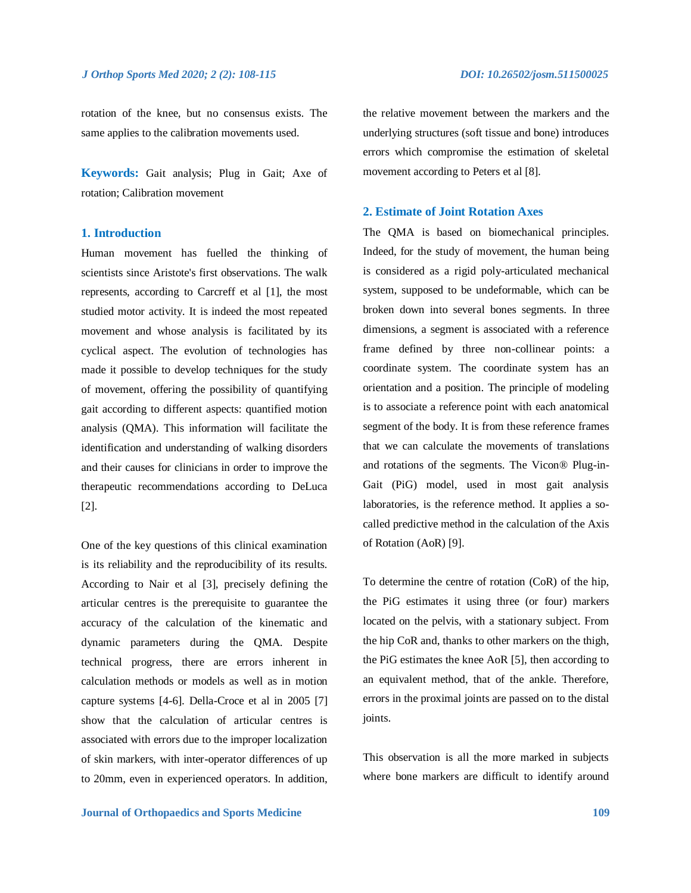rotation of the knee, but no consensus exists. The same applies to the calibration movements used.

**Keywords:** Gait analysis; Plug in Gait; Axe of rotation; Calibration movement

## **1. Introduction**

Human movement has fuelled the thinking of scientists since Aristote's first observations. The walk represents, according to Carcreff et al [1], the most studied motor activity. It is indeed the most repeated movement and whose analysis is facilitated by its cyclical aspect. The evolution of technologies has made it possible to develop techniques for the study of movement, offering the possibility of quantifying gait according to different aspects: quantified motion analysis (QMA). This information will facilitate the identification and understanding of walking disorders and their causes for clinicians in order to improve the therapeutic recommendations according to DeLuca [2].

One of the key questions of this clinical examination is its reliability and the reproducibility of its results. According to Nair et al [3], precisely defining the articular centres is the prerequisite to guarantee the accuracy of the calculation of the kinematic and dynamic parameters during the QMA. Despite technical progress, there are errors inherent in calculation methods or models as well as in motion capture systems [4-6]. Della-Croce et al in 2005 [7] show that the calculation of articular centres is associated with errors due to the improper localization of skin markers, with inter-operator differences of up to 20mm, even in experienced operators. In addition, the relative movement between the markers and the underlying structures (soft tissue and bone) introduces errors which compromise the estimation of skeletal movement according to Peters et al [8].

## **2. Estimate of Joint Rotation Axes**

The QMA is based on biomechanical principles. Indeed, for the study of movement, the human being is considered as a rigid poly-articulated mechanical system, supposed to be undeformable, which can be broken down into several bones segments. In three dimensions, a segment is associated with a reference frame defined by three non-collinear points: a coordinate system. The coordinate system has an orientation and a position. The principle of modeling is to associate a reference point with each anatomical segment of the body. It is from these reference frames that we can calculate the movements of translations and rotations of the segments. The Vicon® Plug-in-Gait (PiG) model, used in most gait analysis laboratories, is the reference method. It applies a socalled predictive method in the calculation of the Axis of Rotation (AoR) [9].

To determine the centre of rotation (CoR) of the hip, the PiG estimates it using three (or four) markers located on the pelvis, with a stationary subject. From the hip CoR and, thanks to other markers on the thigh, the PiG estimates the knee AoR [5], then according to an equivalent method, that of the ankle. Therefore, errors in the proximal joints are passed on to the distal joints.

This observation is all the more marked in subjects where bone markers are difficult to identify around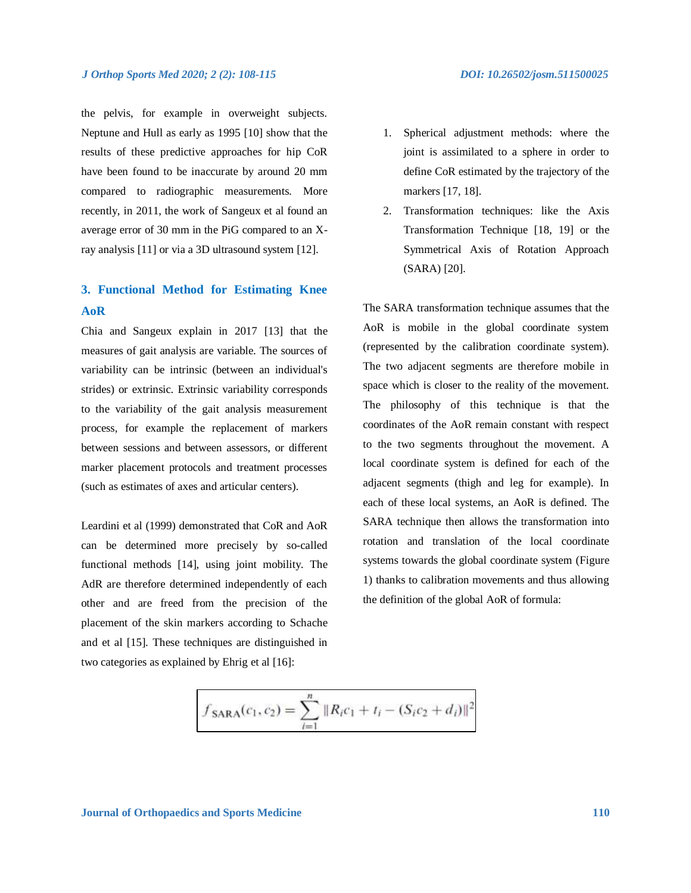## *J Orthop Sports Med 2020; 2 (2): 108-115 DOI: 10.26502/josm.511500025*

the pelvis, for example in overweight subjects. Neptune and Hull as early as 1995 [10] show that the results of these predictive approaches for hip CoR have been found to be inaccurate by around 20 mm compared to radiographic measurements. More recently, in 2011, the work of Sangeux et al found an average error of 30 mm in the PiG compared to an Xray analysis [11] or via a 3D ultrasound system [12].

## **3. Functional Method for Estimating Knee AoR**

Chia and Sangeux explain in 2017 [13] that the measures of gait analysis are variable. The sources of variability can be intrinsic (between an individual's strides) or extrinsic. Extrinsic variability corresponds to the variability of the gait analysis measurement process, for example the replacement of markers between sessions and between assessors, or different marker placement protocols and treatment processes (such as estimates of axes and articular centers).

Leardini et al (1999) demonstrated that CoR and AoR can be determined more precisely by so-called functional methods [14], using joint mobility. The AdR are therefore determined independently of each other and are freed from the precision of the placement of the skin markers according to Schache and et al [15]. These techniques are distinguished in two categories as explained by Ehrig et al [16]:

- joint is assimilated to a sphere in order to define CoR estimated by the trajectory of the markers [17, 18].
- 2. Transformation techniques: like the Axis Transformation Technique [18, 19] or the Symmetrical Axis of Rotation Approach (SARA) [20].

The SARA transformation technique assumes that the AoR is mobile in the global coordinate system (represented by the calibration coordinate system). The two adjacent segments are therefore mobile in space which is closer to the reality of the movement. The philosophy of this technique is that the coordinates of the AoR remain constant with respect to the two segments throughout the movement. A local coordinate system is defined for each of the adjacent segments (thigh and leg for example). In each of these local systems, an AoR is defined. The SARA technique then allows the transformation into rotation and translation of the local coordinate systems towards the global coordinate system (Figure 1) thanks to calibration movements and thus allowing the definition of the global AoR of formula:

$$
f_{\text{SARA}}(c_1, c_2) = \sum_{i=1}^{n} ||R_i c_1 + t_i - (S_i c_2 + d_i)||^2
$$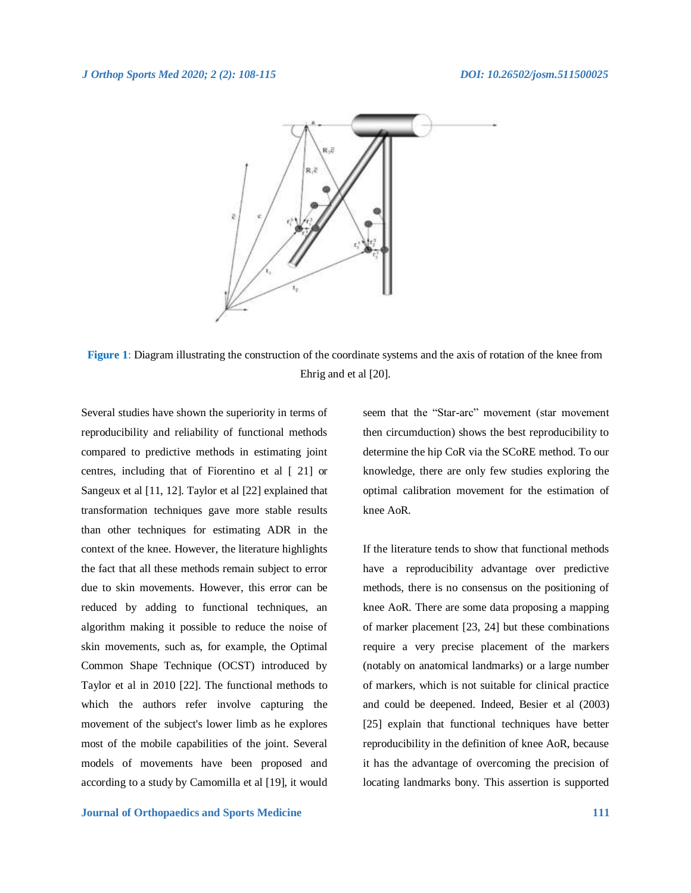

**Figure 1**: Diagram illustrating the construction of the coordinate systems and the axis of rotation of the knee from Ehrig and et al [20].

Several studies have shown the superiority in terms of reproducibility and reliability of functional methods compared to predictive methods in estimating joint centres, including that of Fiorentino et al [ 21] or Sangeux et al [11, 12]. Taylor et al [22] explained that transformation techniques gave more stable results than other techniques for estimating ADR in the context of the knee. However, the literature highlights the fact that all these methods remain subject to error due to skin movements. However, this error can be reduced by adding to functional techniques, an algorithm making it possible to reduce the noise of skin movements, such as, for example, the Optimal Common Shape Technique (OCST) introduced by Taylor et al in 2010 [22]. The functional methods to which the authors refer involve capturing the movement of the subject's lower limb as he explores most of the mobile capabilities of the joint. Several models of movements have been proposed and according to a study by Camomilla et al [19], it would

seem that the "Star-arc" movement (star movement then circumduction) shows the best reproducibility to determine the hip CoR via the SCoRE method. To our knowledge, there are only few studies exploring the optimal calibration movement for the estimation of knee AoR.

If the literature tends to show that functional methods have a reproducibility advantage over predictive methods, there is no consensus on the positioning of knee AoR. There are some data proposing a mapping of marker placement [23, 24] but these combinations require a very precise placement of the markers (notably on anatomical landmarks) or a large number of markers, which is not suitable for clinical practice and could be deepened. Indeed, Besier et al (2003) [25] explain that functional techniques have better reproducibility in the definition of knee AoR, because it has the advantage of overcoming the precision of locating landmarks bony. This assertion is supported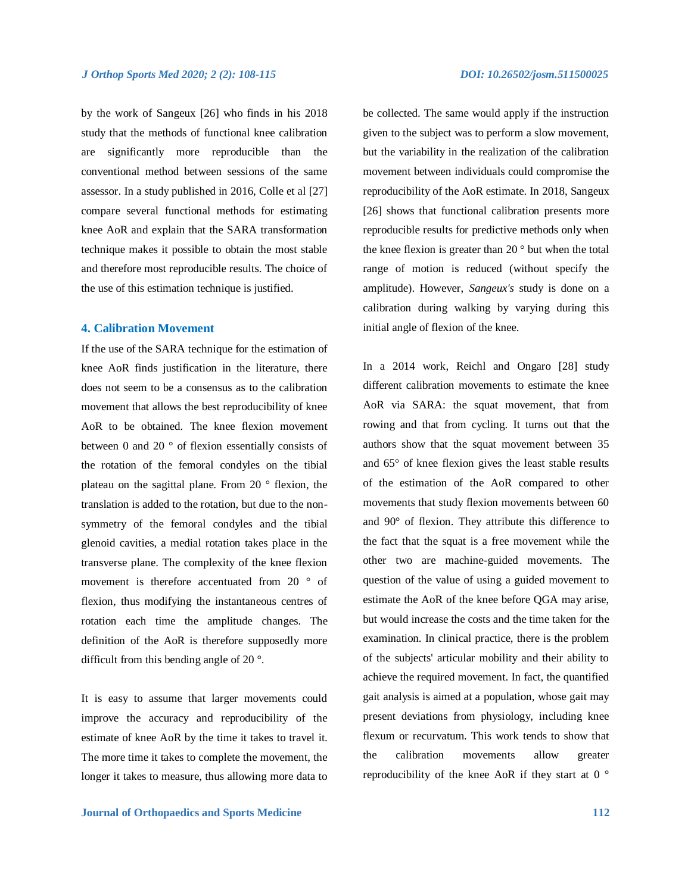by the work of Sangeux [26] who finds in his 2018 study that the methods of functional knee calibration are significantly more reproducible than the conventional method between sessions of the same assessor. In a study published in 2016, Colle et al [27] compare several functional methods for estimating knee AoR and explain that the SARA transformation technique makes it possible to obtain the most stable and therefore most reproducible results. The choice of the use of this estimation technique is justified.

## **4. Calibration Movement**

If the use of the SARA technique for the estimation of knee AoR finds justification in the literature, there does not seem to be a consensus as to the calibration movement that allows the best reproducibility of knee AoR to be obtained. The knee flexion movement between 0 and 20 ° of flexion essentially consists of the rotation of the femoral condyles on the tibial plateau on the sagittal plane. From 20 ° flexion, the translation is added to the rotation, but due to the nonsymmetry of the femoral condyles and the tibial glenoid cavities, a medial rotation takes place in the transverse plane. The complexity of the knee flexion movement is therefore accentuated from 20 ° of flexion, thus modifying the instantaneous centres of rotation each time the amplitude changes. The definition of the AoR is therefore supposedly more difficult from this bending angle of 20 °.

It is easy to assume that larger movements could improve the accuracy and reproducibility of the estimate of knee AoR by the time it takes to travel it. The more time it takes to complete the movement, the longer it takes to measure, thus allowing more data to

be collected. The same would apply if the instruction given to the subject was to perform a slow movement, but the variability in the realization of the calibration movement between individuals could compromise the reproducibility of the AoR estimate. In 2018, Sangeux [26] shows that functional calibration presents more reproducible results for predictive methods only when the knee flexion is greater than 20 $\degree$  but when the total range of motion is reduced (without specify the amplitude). However, *Sangeux's* study is done on a calibration during walking by varying during this initial angle of flexion of the knee.

In a 2014 work, Reichl and Ongaro [28] study different calibration movements to estimate the knee AoR via SARA: the squat movement, that from rowing and that from cycling. It turns out that the authors show that the squat movement between 35 and 65° of knee flexion gives the least stable results of the estimation of the AoR compared to other movements that study flexion movements between 60 and 90° of flexion. They attribute this difference to the fact that the squat is a free movement while the other two are machine-guided movements. The question of the value of using a guided movement to estimate the AoR of the knee before QGA may arise, but would increase the costs and the time taken for the examination. In clinical practice, there is the problem of the subjects' articular mobility and their ability to achieve the required movement. In fact, the quantified gait analysis is aimed at a population, whose gait may present deviations from physiology, including knee flexum or recurvatum. This work tends to show that the calibration movements allow greater reproducibility of the knee AoR if they start at 0 °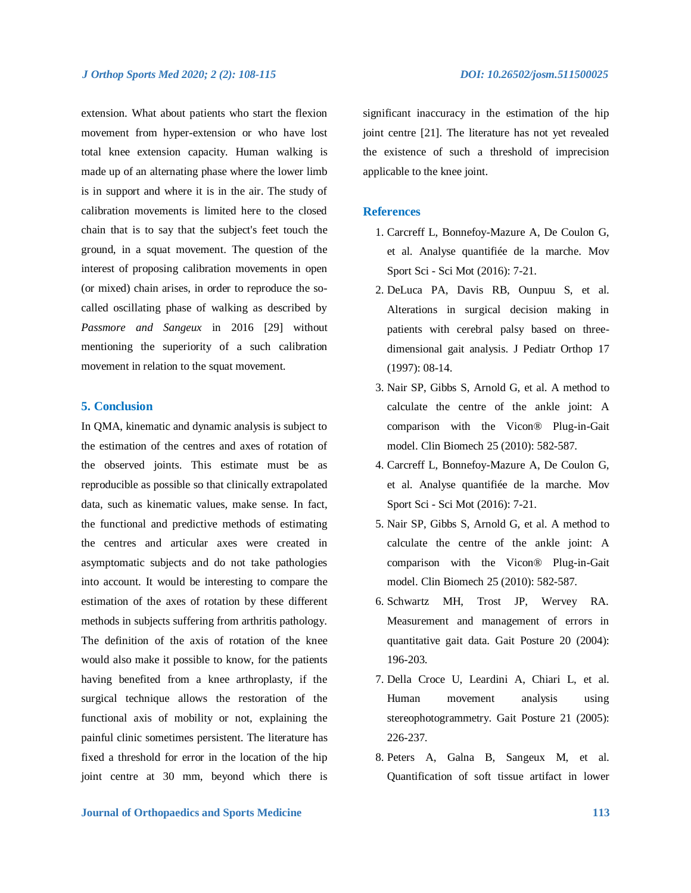### *J Orthop Sports Med 2020; 2 (2): 108-115 DOI: 10.26502/josm.511500025*

extension. What about patients who start the flexion movement from hyper-extension or who have lost total knee extension capacity. Human walking is made up of an alternating phase where the lower limb is in support and where it is in the air. The study of calibration movements is limited here to the closed chain that is to say that the subject's feet touch the ground, in a squat movement. The question of the interest of proposing calibration movements in open (or mixed) chain arises, in order to reproduce the socalled oscillating phase of walking as described by *Passmore and Sangeux* in 2016 [29] without mentioning the superiority of a such calibration movement in relation to the squat movement.

## **5. Conclusion**

In QMA, kinematic and dynamic analysis is subject to the estimation of the centres and axes of rotation of the observed joints. This estimate must be as reproducible as possible so that clinically extrapolated data, such as kinematic values, make sense. In fact, the functional and predictive methods of estimating the centres and articular axes were created in asymptomatic subjects and do not take pathologies into account. It would be interesting to compare the estimation of the axes of rotation by these different methods in subjects suffering from arthritis pathology. The definition of the axis of rotation of the knee would also make it possible to know, for the patients having benefited from a knee arthroplasty, if the surgical technique allows the restoration of the functional axis of mobility or not, explaining the painful clinic sometimes persistent. The literature has fixed a threshold for error in the location of the hip joint centre at 30 mm, beyond which there is significant inaccuracy in the estimation of the hip joint centre [21]. The literature has not yet revealed the existence of such a threshold of imprecision applicable to the knee joint.

## **References**

- 1. Carcreff L, Bonnefoy-Mazure A, De Coulon G, et al. Analyse quantifiée de la marche. Mov Sport Sci - Sci Mot (2016): 7-21.
- 2. DeLuca PA, Davis RB, Ounpuu S, et al. Alterations in surgical decision making in patients with cerebral palsy based on threedimensional gait analysis. J Pediatr Orthop 17 (1997): 08-14.
- 3. Nair SP, Gibbs S, Arnold G, et al. A method to calculate the centre of the ankle joint: A comparison with the Vicon® Plug-in-Gait model. Clin Biomech 25 (2010): 582-587.
- 4. Carcreff L, Bonnefoy-Mazure A, De Coulon G, et al. Analyse quantifiée de la marche. Mov Sport Sci - Sci Mot (2016): 7-21.
- 5. Nair SP, Gibbs S, Arnold G, et al. A method to calculate the centre of the ankle joint: A comparison with the Vicon® Plug-in-Gait model. Clin Biomech 25 (2010): 582-587.
- 6. Schwartz MH, Trost JP, Wervey RA. Measurement and management of errors in quantitative gait data. Gait Posture 20 (2004): 196-203.
- 7. Della Croce U, Leardini A, Chiari L, et al. Human movement analysis using stereophotogrammetry. Gait Posture 21 (2005): 226-237.
- 8. Peters A, Galna B, Sangeux M, et al. Quantification of soft tissue artifact in lower

## **Journal of Orthopaedics and Sports Medicine 113**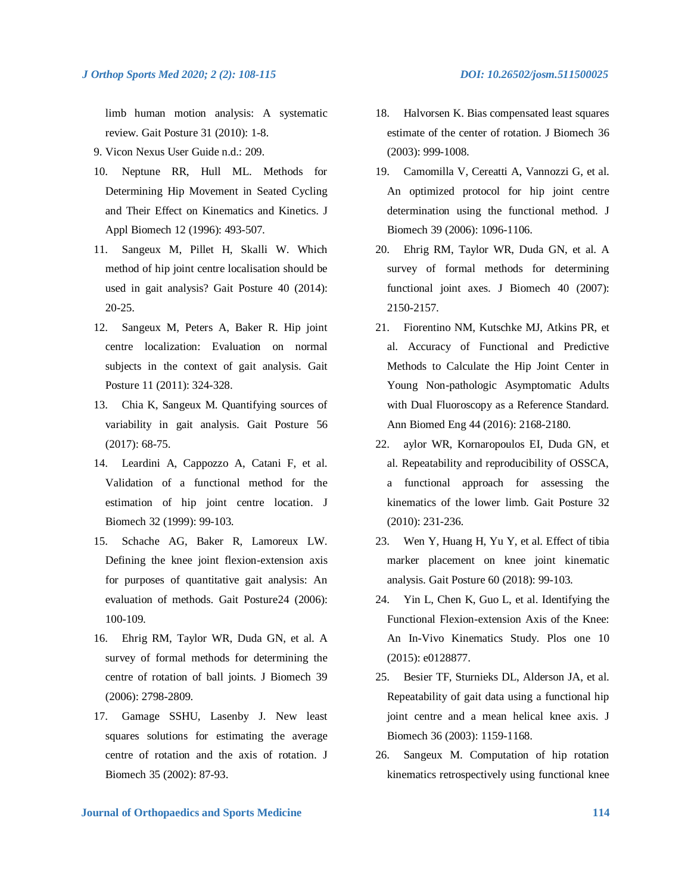limb human motion analysis: A systematic review. Gait Posture 31 (2010): 1-8.

- 9. Vicon Nexus User Guide n.d.: 209.
- 10. Neptune RR, Hull ML. Methods for Determining Hip Movement in Seated Cycling and Their Effect on Kinematics and Kinetics. J Appl Biomech 12 (1996): 493-507.
- 11. Sangeux M, Pillet H, Skalli W. Which method of hip joint centre localisation should be used in gait analysis? Gait Posture 40 (2014): 20-25.
- 12. Sangeux M, Peters A, Baker R. Hip joint centre localization: Evaluation on normal subjects in the context of gait analysis. Gait Posture 11 (2011): 324-328.
- 13. Chia K, Sangeux M. Quantifying sources of variability in gait analysis. Gait Posture 56 (2017): 68-75.
- 14. Leardini A, Cappozzo A, Catani F, et al. Validation of a functional method for the estimation of hip joint centre location. J Biomech 32 (1999): 99-103.
- 15. Schache AG, Baker R, Lamoreux LW. Defining the knee joint flexion-extension axis for purposes of quantitative gait analysis: An evaluation of methods. Gait Posture24 (2006): 100-109.
- 16. Ehrig RM, Taylor WR, Duda GN, et al. A survey of formal methods for determining the centre of rotation of ball joints. J Biomech 39 (2006): 2798-2809.
- 17. Gamage SSHU, Lasenby J. New least squares solutions for estimating the average centre of rotation and the axis of rotation. J Biomech 35 (2002): 87-93.
- 18. Halvorsen K. Bias compensated least squares estimate of the center of rotation. J Biomech 36 (2003): 999-1008.
- 19. Camomilla V, Cereatti A, Vannozzi G, et al. An optimized protocol for hip joint centre determination using the functional method. J Biomech 39 (2006): 1096-1106.
- 20. Ehrig RM, Taylor WR, Duda GN, et al. A survey of formal methods for determining functional joint axes. J Biomech 40 (2007): 2150-2157.
- 21. Fiorentino NM, Kutschke MJ, Atkins PR, et al. Accuracy of Functional and Predictive Methods to Calculate the Hip Joint Center in Young Non-pathologic Asymptomatic Adults with Dual Fluoroscopy as a Reference Standard. Ann Biomed Eng 44 (2016): 2168-2180.
- 22. aylor WR, Kornaropoulos EI, Duda GN, et al. Repeatability and reproducibility of OSSCA, a functional approach for assessing the kinematics of the lower limb. Gait Posture 32 (2010): 231-236.
- 23. Wen Y, Huang H, Yu Y, et al. Effect of tibia marker placement on knee joint kinematic analysis. Gait Posture 60 (2018): 99-103.
- 24. Yin L, Chen K, Guo L, et al. Identifying the Functional Flexion-extension Axis of the Knee: An In-Vivo Kinematics Study. Plos one 10 (2015): e0128877.
- 25. Besier TF, Sturnieks DL, Alderson JA, et al. Repeatability of gait data using a functional hip joint centre and a mean helical knee axis. J Biomech 36 (2003): 1159-1168.
- 26. Sangeux M. Computation of hip rotation kinematics retrospectively using functional knee